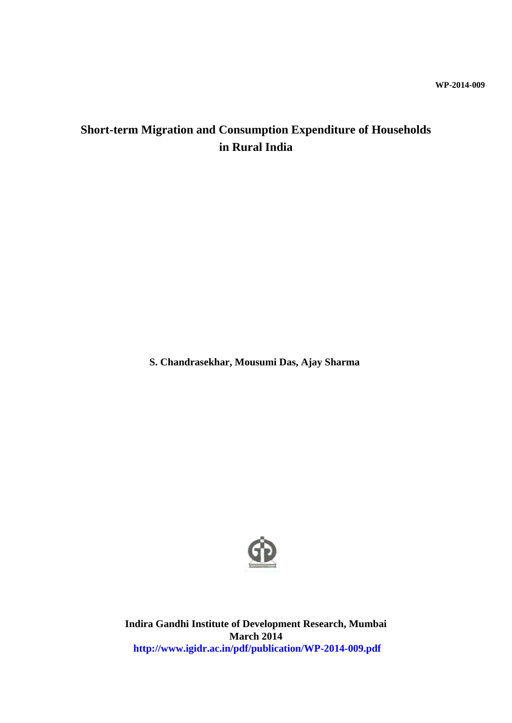## **WP-2014-009**

# **Short-term Migration and Consumption Expenditure of Households in Rural India**

**S. Chandrasekhar, Mousumi Das, Ajay Sharma** 



**Indira Gandhi Institute of Development Research, Mumbai March 2014 http://www.igidr.ac.in/pdf/publication/WP-2014-009.pdf**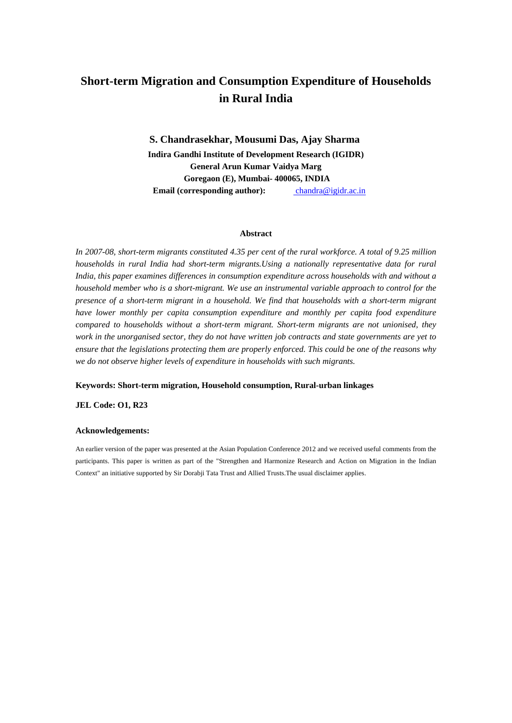# **Short-term Migration and Consumption Expenditure of Households in Rural India**

**S. Chandrasekhar, Mousumi Das, Ajay Sharma Indira Gandhi Institute of Development Research (IGIDR) General Arun Kumar Vaidya Marg Goregaon (E), Mumbai- 400065, INDIA Email (corresponding author):** chandra@igidr.ac.in

#### **Abstract**

*In 2007-08, short-term migrants constituted 4.35 per cent of the rural workforce. A total of 9.25 million households in rural India had short-term migrants.Using a nationally representative data for rural India, this paper examines differences in consumption expenditure across households with and without a household member who is a short-migrant. We use an instrumental variable approach to control for the presence of a short-term migrant in a household. We find that households with a short-term migrant have lower monthly per capita consumption expenditure and monthly per capita food expenditure compared to households without a short-term migrant. Short-term migrants are not unionised, they work in the unorganised sector, they do not have written job contracts and state governments are yet to ensure that the legislations protecting them are properly enforced. This could be one of the reasons why we do not observe higher levels of expenditure in households with such migrants.* 

#### **Keywords: Short-term migration, Household consumption, Rural-urban linkages**

### **JEL Code: O1, R23**

#### **Acknowledgements:**

An earlier version of the paper was presented at the Asian Population Conference 2012 and we received useful comments from the participants. This paper is written as part of the "Strengthen and Harmonize Research and Action on Migration in the Indian Context" an initiative supported by Sir Dorabji Tata Trust and Allied Trusts.The usual disclaimer applies.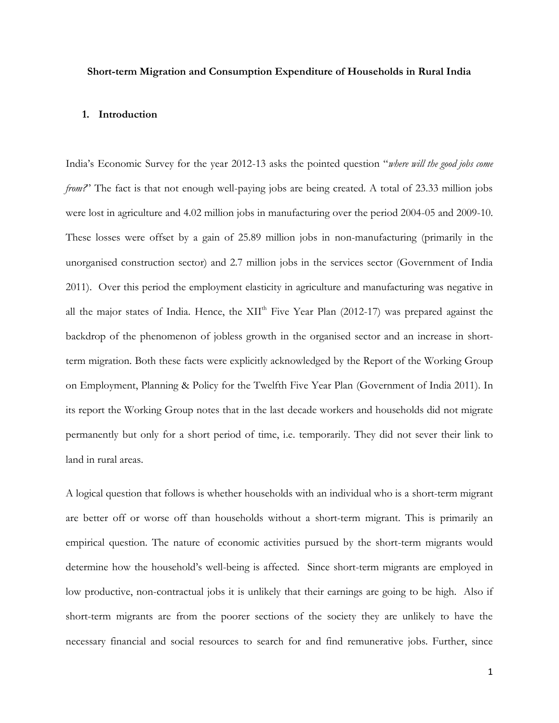## **Short-term Migration and Consumption Expenditure of Households in Rural India**

## **1. Introduction**

India's Economic Survey for the year 2012-13 asks the pointed question "*where will the good jobs come from?*" The fact is that not enough well-paying jobs are being created. A total of 23.33 million jobs were lost in agriculture and 4.02 million jobs in manufacturing over the period 2004-05 and 2009-10. These losses were offset by a gain of 25.89 million jobs in non-manufacturing (primarily in the unorganised construction sector) and 2.7 million jobs in the services sector (Government of India 2011). Over this period the employment elasticity in agriculture and manufacturing was negative in all the major states of India. Hence, the XII<sup>th</sup> Five Year Plan (2012-17) was prepared against the backdrop of the phenomenon of jobless growth in the organised sector and an increase in shortterm migration. Both these facts were explicitly acknowledged by the Report of the Working Group on Employment, Planning & Policy for the Twelfth Five Year Plan (Government of India 2011). In its report the Working Group notes that in the last decade workers and households did not migrate permanently but only for a short period of time, i.e. temporarily. They did not sever their link to land in rural areas.

A logical question that follows is whether households with an individual who is a short-term migrant are better off or worse off than households without a short-term migrant. This is primarily an empirical question. The nature of economic activities pursued by the short-term migrants would determine how the household's well-being is affected. Since short-term migrants are employed in low productive, non-contractual jobs it is unlikely that their earnings are going to be high. Also if short-term migrants are from the poorer sections of the society they are unlikely to have the necessary financial and social resources to search for and find remunerative jobs. Further, since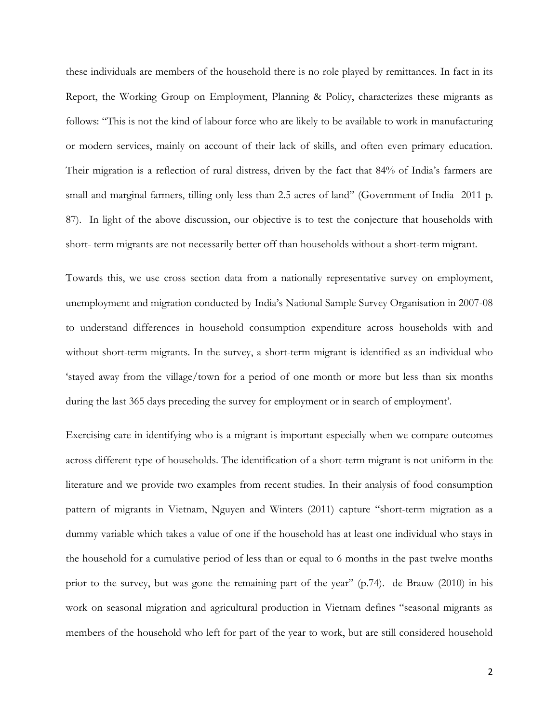these individuals are members of the household there is no role played by remittances. In fact in its Report, the Working Group on Employment, Planning & Policy, characterizes these migrants as follows: "This is not the kind of labour force who are likely to be available to work in manufacturing or modern services, mainly on account of their lack of skills, and often even primary education. Their migration is a reflection of rural distress, driven by the fact that 84% of India's farmers are small and marginal farmers, tilling only less than 2.5 acres of land" (Government of India 2011 p. 87). In light of the above discussion, our objective is to test the conjecture that households with short- term migrants are not necessarily better off than households without a short-term migrant.

Towards this, we use cross section data from a nationally representative survey on employment, unemployment and migration conducted by India's National Sample Survey Organisation in 2007-08 to understand differences in household consumption expenditure across households with and without short-term migrants. In the survey, a short-term migrant is identified as an individual who 'stayed away from the village/town for a period of one month or more but less than six months during the last 365 days preceding the survey for employment or in search of employment'.

Exercising care in identifying who is a migrant is important especially when we compare outcomes across different type of households. The identification of a short-term migrant is not uniform in the literature and we provide two examples from recent studies. In their analysis of food consumption pattern of migrants in Vietnam, Nguyen and Winters (2011) capture "short-term migration as a dummy variable which takes a value of one if the household has at least one individual who stays in the household for a cumulative period of less than or equal to 6 months in the past twelve months prior to the survey, but was gone the remaining part of the year" (p.74). de Brauw (2010) in his work on seasonal migration and agricultural production in Vietnam defines "seasonal migrants as members of the household who left for part of the year to work, but are still considered household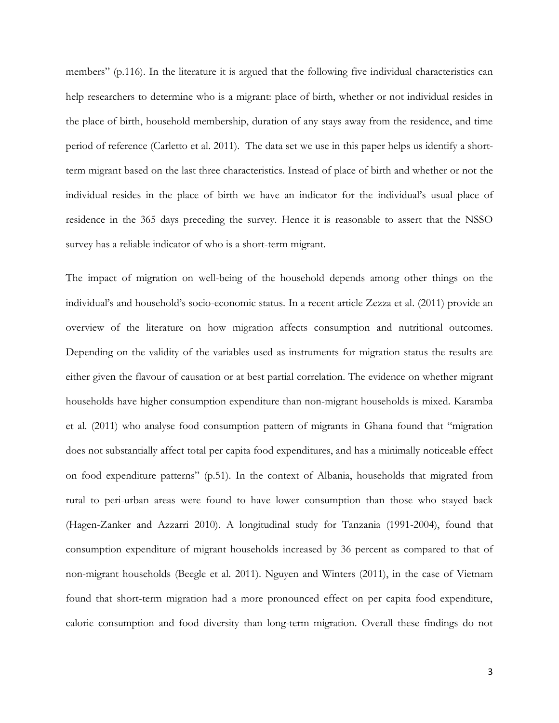members" (p.116). In the literature it is argued that the following five individual characteristics can help researchers to determine who is a migrant: place of birth, whether or not individual resides in the place of birth, household membership, duration of any stays away from the residence, and time period of reference (Carletto et al. 2011). The data set we use in this paper helps us identify a shortterm migrant based on the last three characteristics. Instead of place of birth and whether or not the individual resides in the place of birth we have an indicator for the individual's usual place of residence in the 365 days preceding the survey. Hence it is reasonable to assert that the NSSO survey has a reliable indicator of who is a short-term migrant.

The impact of migration on well-being of the household depends among other things on the individual's and household's socio-economic status. In a recent article Zezza et al. (2011) provide an overview of the literature on how migration affects consumption and nutritional outcomes. Depending on the validity of the variables used as instruments for migration status the results are either given the flavour of causation or at best partial correlation. The evidence on whether migrant households have higher consumption expenditure than non-migrant households is mixed. Karamba et al. (2011) who analyse food consumption pattern of migrants in Ghana found that "migration does not substantially affect total per capita food expenditures, and has a minimally noticeable effect on food expenditure patterns" (p.51). In the context of Albania, households that migrated from rural to peri-urban areas were found to have lower consumption than those who stayed back (Hagen-Zanker and Azzarri 2010). A longitudinal study for Tanzania (1991-2004), found that consumption expenditure of migrant households increased by 36 percent as compared to that of non-migrant households (Beegle et al. 2011). Nguyen and Winters (2011), in the case of Vietnam found that short-term migration had a more pronounced effect on per capita food expenditure, calorie consumption and food diversity than long-term migration. Overall these findings do not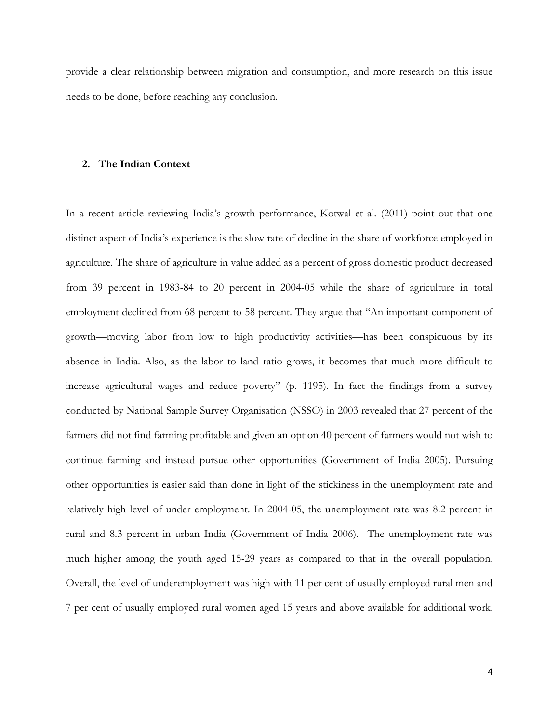provide a clear relationship between migration and consumption, and more research on this issue needs to be done, before reaching any conclusion.

### **2. The Indian Context**

In a recent article reviewing India's growth performance, Kotwal et al. (2011) point out that one distinct aspect of India's experience is the slow rate of decline in the share of workforce employed in agriculture. The share of agriculture in value added as a percent of gross domestic product decreased from 39 percent in 1983-84 to 20 percent in 2004-05 while the share of agriculture in total employment declined from 68 percent to 58 percent. They argue that "An important component of growth—moving labor from low to high productivity activities—has been conspicuous by its absence in India. Also, as the labor to land ratio grows, it becomes that much more difficult to increase agricultural wages and reduce poverty" (p. 1195). In fact the findings from a survey conducted by National Sample Survey Organisation (NSSO) in 2003 revealed that 27 percent of the farmers did not find farming profitable and given an option 40 percent of farmers would not wish to continue farming and instead pursue other opportunities (Government of India 2005). Pursuing other opportunities is easier said than done in light of the stickiness in the unemployment rate and relatively high level of under employment. In 2004-05, the unemployment rate was 8.2 percent in rural and 8.3 percent in urban India (Government of India 2006). The unemployment rate was much higher among the youth aged 15-29 years as compared to that in the overall population. Overall, the level of underemployment was high with 11 per cent of usually employed rural men and 7 per cent of usually employed rural women aged 15 years and above available for additional work.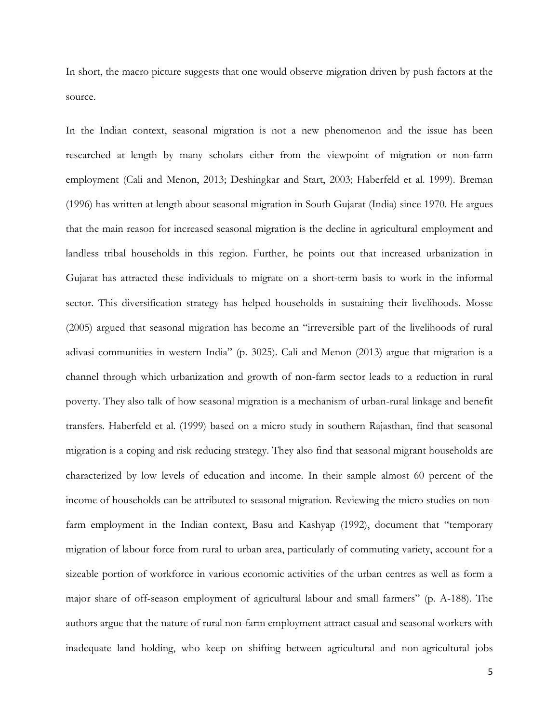In short, the macro picture suggests that one would observe migration driven by push factors at the source.

In the Indian context, seasonal migration is not a new phenomenon and the issue has been researched at length by many scholars either from the viewpoint of migration or non-farm employment (Cali and Menon, 2013; Deshingkar and Start, 2003; Haberfeld et al. 1999). Breman (1996) has written at length about seasonal migration in South Gujarat (India) since 1970. He argues that the main reason for increased seasonal migration is the decline in agricultural employment and landless tribal households in this region. Further, he points out that increased urbanization in Gujarat has attracted these individuals to migrate on a short-term basis to work in the informal sector. This diversification strategy has helped households in sustaining their livelihoods. Mosse (2005) argued that seasonal migration has become an "irreversible part of the livelihoods of rural adivasi communities in western India" (p. 3025). Cali and Menon (2013) argue that migration is a channel through which urbanization and growth of non-farm sector leads to a reduction in rural poverty. They also talk of how seasonal migration is a mechanism of urban-rural linkage and benefit transfers. Haberfeld et al. (1999) based on a micro study in southern Rajasthan, find that seasonal migration is a coping and risk reducing strategy. They also find that seasonal migrant households are characterized by low levels of education and income. In their sample almost 60 percent of the income of households can be attributed to seasonal migration. Reviewing the micro studies on nonfarm employment in the Indian context, Basu and Kashyap (1992), document that "temporary migration of labour force from rural to urban area, particularly of commuting variety, account for a sizeable portion of workforce in various economic activities of the urban centres as well as form a major share of off-season employment of agricultural labour and small farmers" (p. A-188). The authors argue that the nature of rural non-farm employment attract casual and seasonal workers with inadequate land holding, who keep on shifting between agricultural and non-agricultural jobs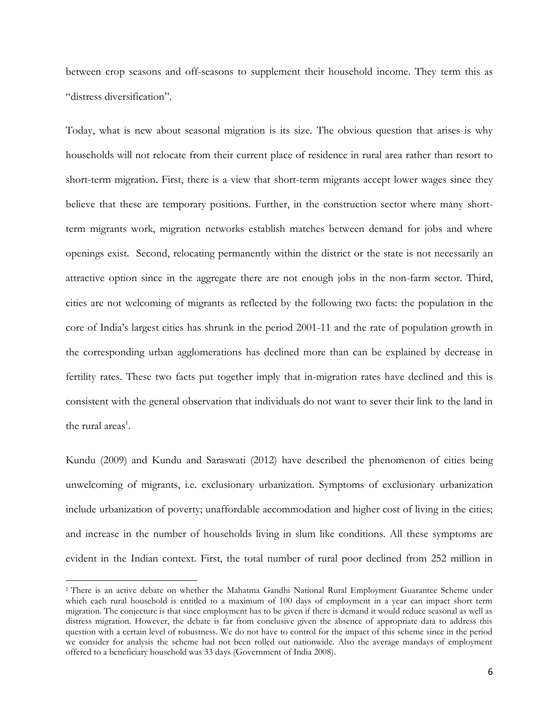between crop seasons and off-seasons to supplement their household income. They term this as "distress diversification".

Today, what is new about seasonal migration is its size. The obvious question that arises is why households will not relocate from their current place of residence in rural area rather than resort to short-term migration. First, there is a view that short-term migrants accept lower wages since they believe that these are temporary positions. Further, in the construction sector where many shortterm migrants work, migration networks establish matches between demand for jobs and where openings exist. Second, relocating permanently within the district or the state is not necessarily an attractive option since in the aggregate there are not enough jobs in the non-farm sector. Third, cities are not welcoming of migrants as reflected by the following two facts: the population in the core of India's largest cities has shrunk in the period 2001-11 and the rate of population growth in the corresponding urban agglomerations has declined more than can be explained by decrease in fertility rates. These two facts put together imply that in-migration rates have declined and this is consistent with the general observation that individuals do not want to sever their link to the land in the rural areas<sup>1</sup>.

Kundu (2009) and Kundu and Saraswati (2012) have described the phenomenon of cities being unwelcoming of migrants, i.e. exclusionary urbanization. Symptoms of exclusionary urbanization include urbanization of poverty; unaffordable accommodation and higher cost of living in the cities; and increase in the number of households living in slum like conditions. All these symptoms are evident in the Indian context. First, the total number of rural poor declined from 252 million in

l

<sup>&</sup>lt;sup>1</sup> There is an active debate on whether the Mahatma Gandhi National Rural Employment Guarantee Scheme under which each rural household is entitled to a maximum of 100 days of employment in a year can impact short term migration. The conjecture is that since employment has to be given if there is demand it would reduce seasonal as well as distress migration. However, the debate is far from conclusive given the absence of appropriate data to address this question with a certain level of robustness. We do not have to control for the impact of this scheme since in the period we consider for analysis the scheme had not been rolled out nationwide. Also the average mandays of employment offered to a beneficiary household was 33 days (Government of India 2008).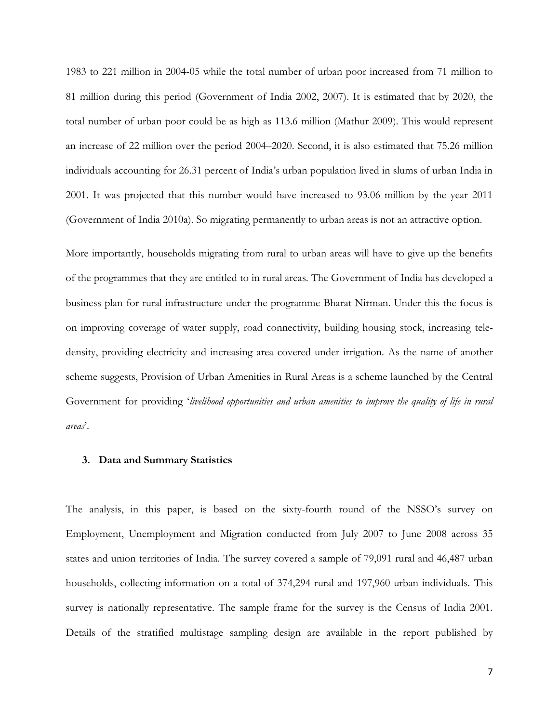1983 to 221 million in 2004-05 while the total number of urban poor increased from 71 million to 81 million during this period (Government of India 2002, 2007). It is estimated that by 2020, the total number of urban poor could be as high as 113.6 million (Mathur 2009). This would represent an increase of 22 million over the period 2004–2020. Second, it is also estimated that 75.26 million individuals accounting for 26.31 percent of India's urban population lived in slums of urban India in 2001. It was projected that this number would have increased to 93.06 million by the year 2011 (Government of India 2010a). So migrating permanently to urban areas is not an attractive option.

More importantly, households migrating from rural to urban areas will have to give up the benefits of the programmes that they are entitled to in rural areas. The Government of India has developed a business plan for rural infrastructure under the programme Bharat Nirman. Under this the focus is on improving coverage of water supply, road connectivity, building housing stock, increasing teledensity, providing electricity and increasing area covered under irrigation. As the name of another scheme suggests, Provision of Urban Amenities in Rural Areas is a scheme launched by the Central Government for providing '*livelihood opportunities and urban amenities to improve the quality of life in rural areas*'.

## **3. Data and Summary Statistics**

The analysis, in this paper, is based on the sixty-fourth round of the NSSO's survey on Employment, Unemployment and Migration conducted from July 2007 to June 2008 across 35 states and union territories of India. The survey covered a sample of 79,091 rural and 46,487 urban households, collecting information on a total of 374,294 rural and 197,960 urban individuals. This survey is nationally representative. The sample frame for the survey is the Census of India 2001. Details of the stratified multistage sampling design are available in the report published by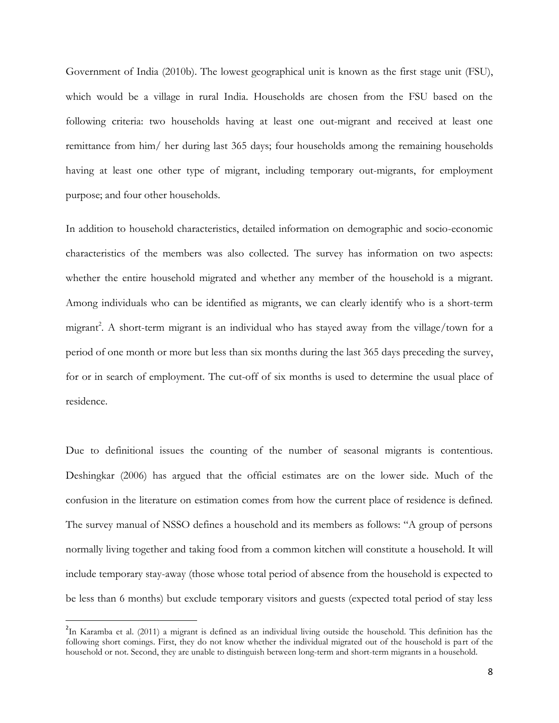Government of India (2010b). The lowest geographical unit is known as the first stage unit (FSU), which would be a village in rural India. Households are chosen from the FSU based on the following criteria: two households having at least one out-migrant and received at least one remittance from him/ her during last 365 days; four households among the remaining households having at least one other type of migrant, including temporary out-migrants, for employment purpose; and four other households.

In addition to household characteristics, detailed information on demographic and socio-economic characteristics of the members was also collected. The survey has information on two aspects: whether the entire household migrated and whether any member of the household is a migrant. Among individuals who can be identified as migrants, we can clearly identify who is a short-term migrant<sup>2</sup>. A short-term migrant is an individual who has stayed away from the village/town for a period of one month or more but less than six months during the last 365 days preceding the survey, for or in search of employment. The cut-off of six months is used to determine the usual place of residence.

Due to definitional issues the counting of the number of seasonal migrants is contentious. Deshingkar (2006) has argued that the official estimates are on the lower side. Much of the confusion in the literature on estimation comes from how the current place of residence is defined. The survey manual of NSSO defines a household and its members as follows: "A group of persons normally living together and taking food from a common kitchen will constitute a household. It will include temporary stay-away (those whose total period of absence from the household is expected to be less than 6 months) but exclude temporary visitors and guests (expected total period of stay less

 $\overline{\phantom{a}}$ 

<sup>&</sup>lt;sup>2</sup>In Karamba et al. (2011) a migrant is defined as an individual living outside the household. This definition has the following short comings. First, they do not know whether the individual migrated out of the household is part of the household or not. Second, they are unable to distinguish between long-term and short-term migrants in a household.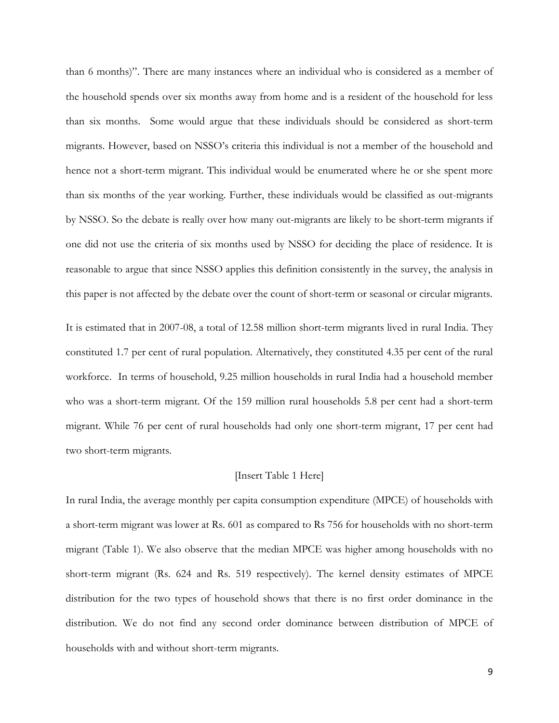than 6 months)". There are many instances where an individual who is considered as a member of the household spends over six months away from home and is a resident of the household for less than six months. Some would argue that these individuals should be considered as short-term migrants. However, based on NSSO's criteria this individual is not a member of the household and hence not a short-term migrant. This individual would be enumerated where he or she spent more than six months of the year working. Further, these individuals would be classified as out-migrants by NSSO. So the debate is really over how many out-migrants are likely to be short-term migrants if one did not use the criteria of six months used by NSSO for deciding the place of residence. It is reasonable to argue that since NSSO applies this definition consistently in the survey, the analysis in this paper is not affected by the debate over the count of short-term or seasonal or circular migrants.

It is estimated that in 2007-08, a total of 12.58 million short-term migrants lived in rural India. They constituted 1.7 per cent of rural population. Alternatively, they constituted 4.35 per cent of the rural workforce. In terms of household, 9.25 million households in rural India had a household member who was a short-term migrant. Of the 159 million rural households 5.8 per cent had a short-term migrant. While 76 per cent of rural households had only one short-term migrant, 17 per cent had two short-term migrants.

### [Insert Table 1 Here]

In rural India, the average monthly per capita consumption expenditure (MPCE) of households with a short-term migrant was lower at Rs. 601 as compared to Rs 756 for households with no short-term migrant (Table 1). We also observe that the median MPCE was higher among households with no short-term migrant (Rs. 624 and Rs. 519 respectively). The kernel density estimates of MPCE distribution for the two types of household shows that there is no first order dominance in the distribution. We do not find any second order dominance between distribution of MPCE of households with and without short-term migrants.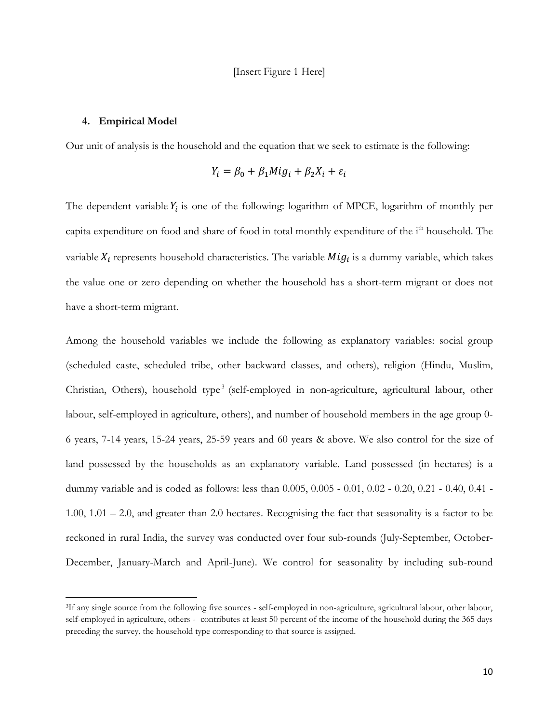### **4. Empirical Model**

l

Our unit of analysis is the household and the equation that we seek to estimate is the following:

$$
Y_i = \beta_0 + \beta_1 M i g_i + \beta_2 X_i + \varepsilon_i
$$

The dependent variable  $Y_i$  is one of the following: logarithm of MPCE, logarithm of monthly per capita expenditure on food and share of food in total monthly expenditure of the i<sup>th</sup> household. The variable  $X_i$  represents household characteristics. The variable  $Mig_i$  is a dummy variable, which takes the value one or zero depending on whether the household has a short-term migrant or does not have a short-term migrant.

Among the household variables we include the following as explanatory variables: social group (scheduled caste, scheduled tribe, other backward classes, and others), religion (Hindu, Muslim, Christian, Others), household type<sup>3</sup> (self-employed in non-agriculture, agricultural labour, other labour, self-employed in agriculture, others), and number of household members in the age group 0- 6 years, 7-14 years, 15-24 years, 25-59 years and 60 years & above. We also control for the size of land possessed by the households as an explanatory variable. Land possessed (in hectares) is a dummy variable and is coded as follows: less than 0.005, 0.005 - 0.01, 0.02 - 0.20, 0.21 - 0.40, 0.41 - 1.00, 1.01 – 2.0, and greater than 2.0 hectares. Recognising the fact that seasonality is a factor to be reckoned in rural India, the survey was conducted over four sub-rounds (July-September, October-December, January-March and April-June). We control for seasonality by including sub-round

<sup>&</sup>lt;sup>3</sup>If any single source from the following five sources - self-employed in non-agriculture, agricultural labour, other labour, self-employed in agriculture, others - contributes at least 50 percent of the income of the household during the 365 days preceding the survey, the household type corresponding to that source is assigned.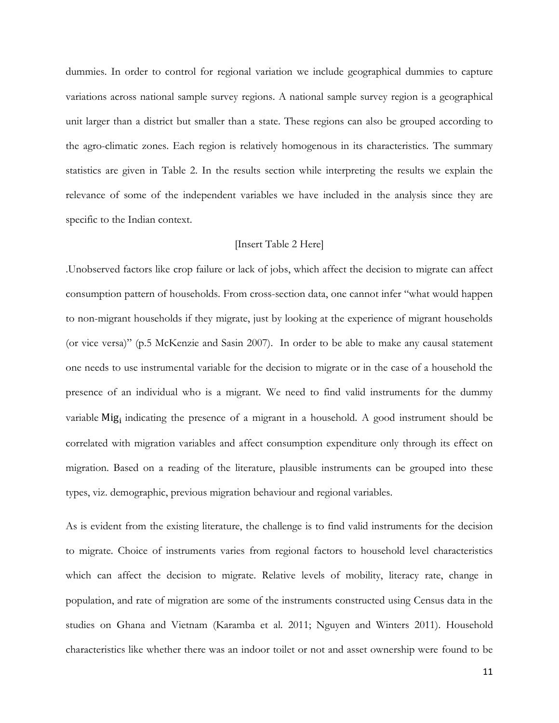dummies. In order to control for regional variation we include geographical dummies to capture variations across national sample survey regions. A national sample survey region is a geographical unit larger than a district but smaller than a state. These regions can also be grouped according to the agro-climatic zones. Each region is relatively homogenous in its characteristics. The summary statistics are given in Table 2. In the results section while interpreting the results we explain the relevance of some of the independent variables we have included in the analysis since they are specific to the Indian context.

## [Insert Table 2 Here]

.Unobserved factors like crop failure or lack of jobs, which affect the decision to migrate can affect consumption pattern of households. From cross-section data, one cannot infer "what would happen to non-migrant households if they migrate, just by looking at the experience of migrant households (or vice versa)" (p.5 McKenzie and Sasin 2007). In order to be able to make any causal statement one needs to use instrumental variable for the decision to migrate or in the case of a household the presence of an individual who is a migrant. We need to find valid instruments for the dummy variable Mig<sub>i</sub> indicating the presence of a migrant in a household. A good instrument should be correlated with migration variables and affect consumption expenditure only through its effect on migration. Based on a reading of the literature, plausible instruments can be grouped into these types, viz. demographic, previous migration behaviour and regional variables.

As is evident from the existing literature, the challenge is to find valid instruments for the decision to migrate. Choice of instruments varies from regional factors to household level characteristics which can affect the decision to migrate. Relative levels of mobility, literacy rate, change in population, and rate of migration are some of the instruments constructed using Census data in the studies on Ghana and Vietnam (Karamba et al. 2011; Nguyen and Winters 2011). Household characteristics like whether there was an indoor toilet or not and asset ownership were found to be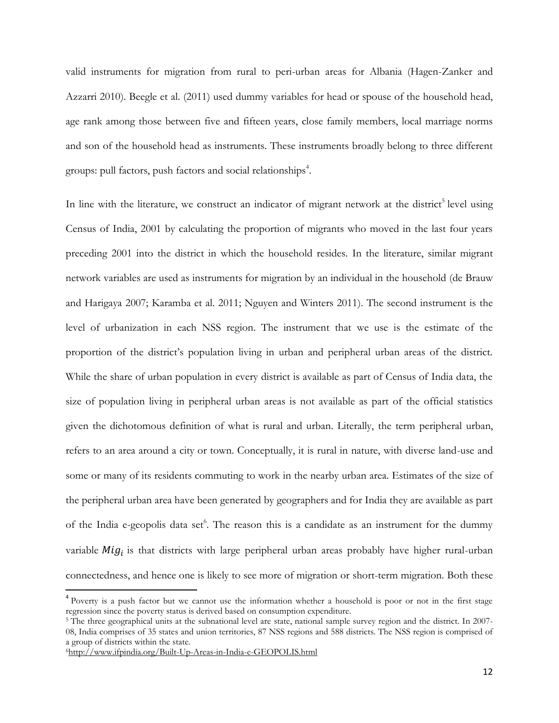valid instruments for migration from rural to peri-urban areas for Albania (Hagen-Zanker and Azzarri 2010). Beegle et al. (2011) used dummy variables for head or spouse of the household head, age rank among those between five and fifteen years, close family members, local marriage norms and son of the household head as instruments. These instruments broadly belong to three different groups: pull factors, push factors and social relationships<sup>4</sup>.

In line with the literature, we construct an indicator of migrant network at the district<sup>5</sup> level using Census of India, 2001 by calculating the proportion of migrants who moved in the last four years preceding 2001 into the district in which the household resides. In the literature, similar migrant network variables are used as instruments for migration by an individual in the household (de Brauw and Harigaya 2007; Karamba et al. 2011; Nguyen and Winters 2011). The second instrument is the level of urbanization in each NSS region. The instrument that we use is the estimate of the proportion of the district's population living in urban and peripheral urban areas of the district. While the share of urban population in every district is available as part of Census of India data, the size of population living in peripheral urban areas is not available as part of the official statistics given the dichotomous definition of what is rural and urban. Literally, the term peripheral urban, refers to an area around a city or town. Conceptually, it is rural in nature, with diverse land-use and some or many of its residents commuting to work in the nearby urban area. Estimates of the size of the peripheral urban area have been generated by geographers and for India they are available as part of the India e-geopolis data set<sup>6</sup>. The reason this is a candidate as an instrument for the dummy variable  $Mig_i$  is that districts with large peripheral urban areas probably have higher rural-urban connectedness, and hence one is likely to see more of migration or short-term migration. Both these

 $\overline{\phantom{a}}$ 

<sup>&</sup>lt;sup>4</sup> Poverty is a push factor but we cannot use the information whether a household is poor or not in the first stage regression since the poverty status is derived based on consumption expenditure.

<sup>&</sup>lt;sup>5</sup> The three geographical units at the subnational level are state, national sample survey region and the district. In 2007-08, India comprises of 35 states and union territories, 87 NSS regions and 588 districts. The NSS region is comprised of a group of districts within the state.

<sup>6</sup><http://www.ifpindia.org/Built-Up-Areas-in-India-e-GEOPOLIS.html>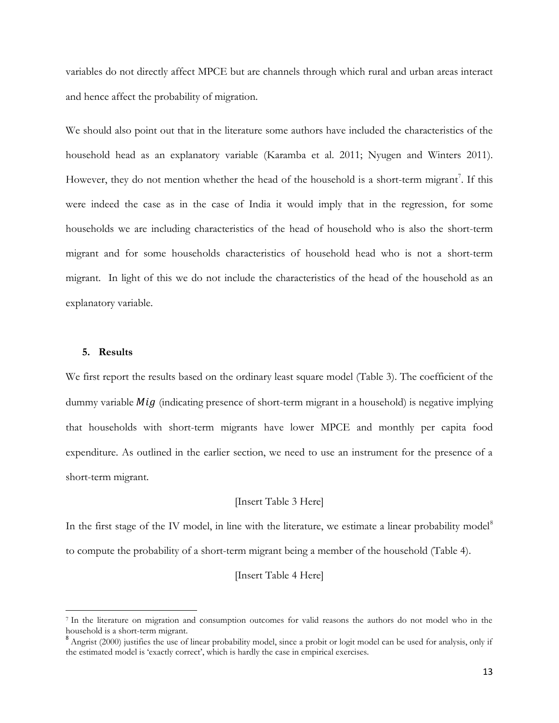variables do not directly affect MPCE but are channels through which rural and urban areas interact and hence affect the probability of migration.

We should also point out that in the literature some authors have included the characteristics of the household head as an explanatory variable (Karamba et al. 2011; Nyugen and Winters 2011). However, they do not mention whether the head of the household is a short-term migrant<sup>7</sup>. If this were indeed the case as in the case of India it would imply that in the regression, for some households we are including characteristics of the head of household who is also the short-term migrant and for some households characteristics of household head who is not a short-term migrant. In light of this we do not include the characteristics of the head of the household as an explanatory variable.

## **5. Results**

 $\overline{\phantom{a}}$ 

We first report the results based on the ordinary least square model (Table 3). The coefficient of the dummy variable  $Mig$  (indicating presence of short-term migrant in a household) is negative implying that households with short-term migrants have lower MPCE and monthly per capita food expenditure. As outlined in the earlier section, we need to use an instrument for the presence of a short-term migrant.

## [Insert Table 3 Here]

In the first stage of the IV model, in line with the literature, we estimate a linear probability model<sup>8</sup> to compute the probability of a short-term migrant being a member of the household (Table 4).

## [Insert Table 4 Here]

<sup>7</sup> In the literature on migration and consumption outcomes for valid reasons the authors do not model who in the household is a short-term migrant.

<sup>&</sup>lt;sup>8</sup> Angrist (2000) justifies the use of linear probability model, since a probit or logit model can be used for analysis, only if the estimated model is 'exactly correct', which is hardly the case in empirical exercises.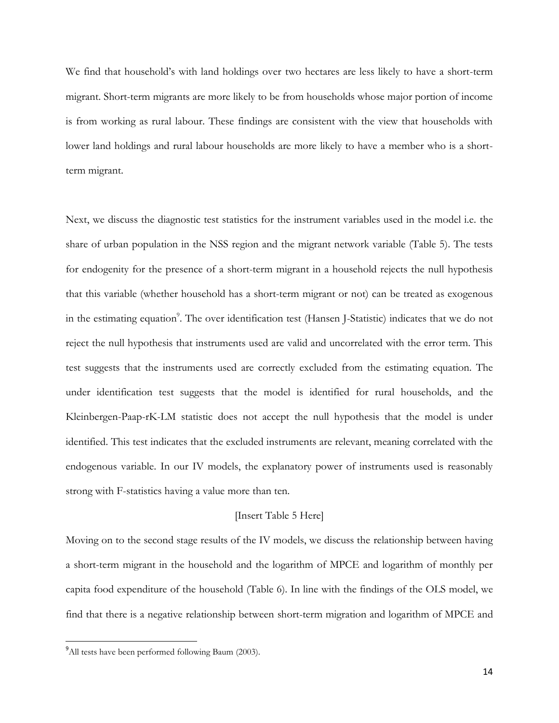We find that household's with land holdings over two hectares are less likely to have a short-term migrant. Short-term migrants are more likely to be from households whose major portion of income is from working as rural labour. These findings are consistent with the view that households with lower land holdings and rural labour households are more likely to have a member who is a shortterm migrant.

Next, we discuss the diagnostic test statistics for the instrument variables used in the model i.e. the share of urban population in the NSS region and the migrant network variable (Table 5). The tests for endogenity for the presence of a short-term migrant in a household rejects the null hypothesis that this variable (whether household has a short-term migrant or not) can be treated as exogenous in the estimating equation<sup>9</sup>. The over identification test (Hansen J-Statistic) indicates that we do not reject the null hypothesis that instruments used are valid and uncorrelated with the error term. This test suggests that the instruments used are correctly excluded from the estimating equation. The under identification test suggests that the model is identified for rural households, and the Kleinbergen-Paap-rK-LM statistic does not accept the null hypothesis that the model is under identified. This test indicates that the excluded instruments are relevant, meaning correlated with the endogenous variable. In our IV models, the explanatory power of instruments used is reasonably strong with F-statistics having a value more than ten.

## [Insert Table 5 Here]

Moving on to the second stage results of the IV models, we discuss the relationship between having a short-term migrant in the household and the logarithm of MPCE and logarithm of monthly per capita food expenditure of the household (Table 6). In line with the findings of the OLS model, we find that there is a negative relationship between short-term migration and logarithm of MPCE and

 $\overline{\phantom{a}}$ 

<sup>&</sup>lt;sup>9</sup>All tests have been performed following Baum (2003).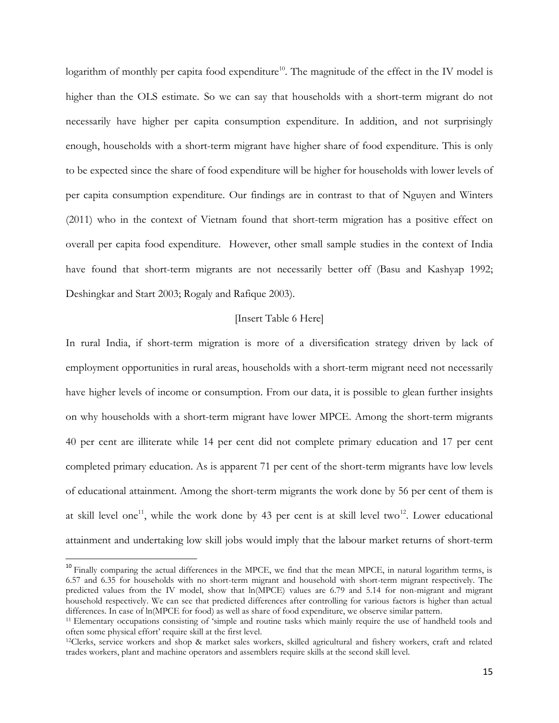logarithm of monthly per capita food expenditure<sup>10</sup>. The magnitude of the effect in the IV model is higher than the OLS estimate. So we can say that households with a short-term migrant do not necessarily have higher per capita consumption expenditure. In addition, and not surprisingly enough, households with a short-term migrant have higher share of food expenditure. This is only to be expected since the share of food expenditure will be higher for households with lower levels of per capita consumption expenditure. Our findings are in contrast to that of Nguyen and Winters (2011) who in the context of Vietnam found that short-term migration has a positive effect on overall per capita food expenditure. However, other small sample studies in the context of India have found that short-term migrants are not necessarily better off (Basu and Kashyap 1992; Deshingkar and Start 2003; Rogaly and Rafique 2003).

## [Insert Table 6 Here]

In rural India, if short-term migration is more of a diversification strategy driven by lack of employment opportunities in rural areas, households with a short-term migrant need not necessarily have higher levels of income or consumption. From our data, it is possible to glean further insights on why households with a short-term migrant have lower MPCE. Among the short-term migrants 40 per cent are illiterate while 14 per cent did not complete primary education and 17 per cent completed primary education. As is apparent 71 per cent of the short-term migrants have low levels of educational attainment. Among the short-term migrants the work done by 56 per cent of them is at skill level one<sup>11</sup>, while the work done by 43 per cent is at skill level two<sup>12</sup>. Lower educational attainment and undertaking low skill jobs would imply that the labour market returns of short-term

 $\overline{\phantom{a}}$ 

 $10$  Finally comparing the actual differences in the MPCE, we find that the mean MPCE, in natural logarithm terms, is 6.57 and 6.35 for households with no short-term migrant and household with short-term migrant respectively. The predicted values from the IV model, show that ln(MPCE) values are 6.79 and 5.14 for non-migrant and migrant household respectively. We can see that predicted differences after controlling for various factors is higher than actual differences. In case of ln(MPCE for food) as well as share of food expenditure, we observe similar pattern.

<sup>&</sup>lt;sup>11</sup> Elementary occupations consisting of 'simple and routine tasks which mainly require the use of handheld tools and often some physical effort' require skill at the first level.

<sup>&</sup>lt;sup>12</sup>Clerks, service workers and shop & market sales workers, skilled agricultural and fishery workers, craft and related trades workers, plant and machine operators and assemblers require skills at the second skill level.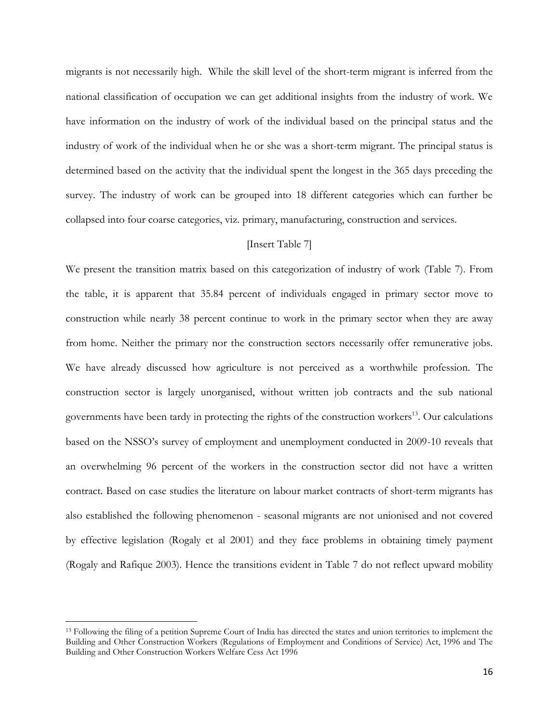migrants is not necessarily high. While the skill level of the short-term migrant is inferred from the national classification of occupation we can get additional insights from the industry of work. We have information on the industry of work of the individual based on the principal status and the industry of work of the individual when he or she was a short-term migrant. The principal status is determined based on the activity that the individual spent the longest in the 365 days preceding the survey. The industry of work can be grouped into 18 different categories which can further be collapsed into four coarse categories, viz. primary, manufacturing, construction and services.

## [Insert Table 7]

We present the transition matrix based on this categorization of industry of work (Table 7). From the table, it is apparent that 35.84 percent of individuals engaged in primary sector move to construction while nearly 38 percent continue to work in the primary sector when they are away from home. Neither the primary nor the construction sectors necessarily offer remunerative jobs. We have already discussed how agriculture is not perceived as a worthwhile profession. The construction sector is largely unorganised, without written job contracts and the sub national governments have been tardy in protecting the rights of the construction workers<sup>13</sup>. Our calculations based on the NSSO's survey of employment and unemployment conducted in 2009-10 reveals that an overwhelming 96 percent of the workers in the construction sector did not have a written contract. Based on case studies the literature on labour market contracts of short-term migrants has also established the following phenomenon - seasonal migrants are not unionised and not covered by effective legislation (Rogaly et al 2001) and they face problems in obtaining timely payment (Rogaly and Rafique 2003). Hence the transitions evident in Table 7 do not reflect upward mobility

l

<sup>&</sup>lt;sup>13</sup> Following the filing of a petition Supreme Court of India has directed the states and union territories to implement the Building and Other Construction Workers (Regulations of Employment and Conditions of Service) Act, 1996 and The Building and Other Construction Workers Welfare Cess Act 1996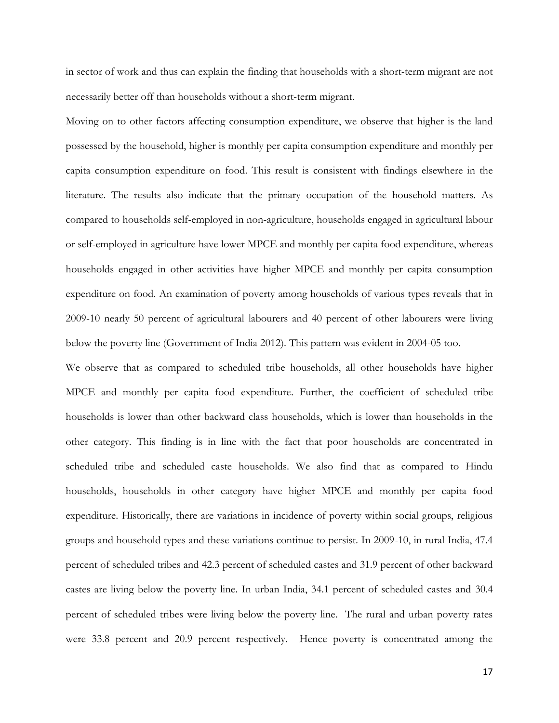in sector of work and thus can explain the finding that households with a short-term migrant are not necessarily better off than households without a short-term migrant.

Moving on to other factors affecting consumption expenditure, we observe that higher is the land possessed by the household, higher is monthly per capita consumption expenditure and monthly per capita consumption expenditure on food. This result is consistent with findings elsewhere in the literature. The results also indicate that the primary occupation of the household matters. As compared to households self-employed in non-agriculture, households engaged in agricultural labour or self-employed in agriculture have lower MPCE and monthly per capita food expenditure, whereas households engaged in other activities have higher MPCE and monthly per capita consumption expenditure on food. An examination of poverty among households of various types reveals that in 2009-10 nearly 50 percent of agricultural labourers and 40 percent of other labourers were living below the poverty line (Government of India 2012). This pattern was evident in 2004-05 too.

We observe that as compared to scheduled tribe households, all other households have higher MPCE and monthly per capita food expenditure. Further, the coefficient of scheduled tribe households is lower than other backward class households, which is lower than households in the other category. This finding is in line with the fact that poor households are concentrated in scheduled tribe and scheduled caste households. We also find that as compared to Hindu households, households in other category have higher MPCE and monthly per capita food expenditure. Historically, there are variations in incidence of poverty within social groups, religious groups and household types and these variations continue to persist. In 2009-10, in rural India, 47.4 percent of scheduled tribes and 42.3 percent of scheduled castes and 31.9 percent of other backward castes are living below the poverty line. In urban India, 34.1 percent of scheduled castes and 30.4 percent of scheduled tribes were living below the poverty line. The rural and urban poverty rates were 33.8 percent and 20.9 percent respectively. Hence poverty is concentrated among the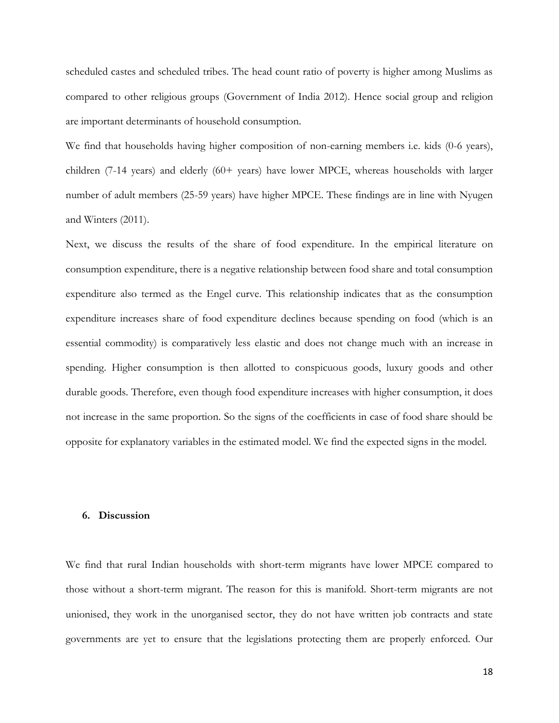scheduled castes and scheduled tribes. The head count ratio of poverty is higher among Muslims as compared to other religious groups (Government of India 2012). Hence social group and religion are important determinants of household consumption.

We find that households having higher composition of non-earning members i.e. kids (0-6 years), children (7-14 years) and elderly (60+ years) have lower MPCE, whereas households with larger number of adult members (25-59 years) have higher MPCE. These findings are in line with Nyugen and Winters (2011).

Next, we discuss the results of the share of food expenditure. In the empirical literature on consumption expenditure, there is a negative relationship between food share and total consumption expenditure also termed as the Engel curve. This relationship indicates that as the consumption expenditure increases share of food expenditure declines because spending on food (which is an essential commodity) is comparatively less elastic and does not change much with an increase in spending. Higher consumption is then allotted to conspicuous goods, luxury goods and other durable goods. Therefore, even though food expenditure increases with higher consumption, it does not increase in the same proportion. So the signs of the coefficients in case of food share should be opposite for explanatory variables in the estimated model. We find the expected signs in the model.

## **6. Discussion**

We find that rural Indian households with short-term migrants have lower MPCE compared to those without a short-term migrant. The reason for this is manifold. Short-term migrants are not unionised, they work in the unorganised sector, they do not have written job contracts and state governments are yet to ensure that the legislations protecting them are properly enforced. Our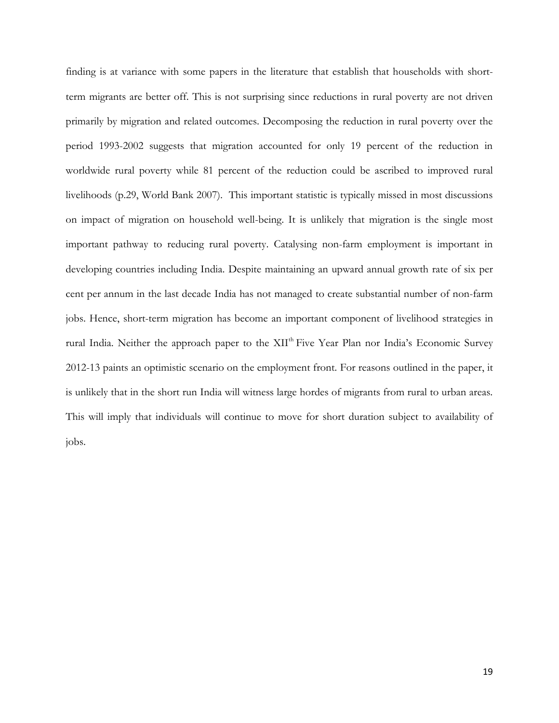finding is at variance with some papers in the literature that establish that households with shortterm migrants are better off. This is not surprising since reductions in rural poverty are not driven primarily by migration and related outcomes. Decomposing the reduction in rural poverty over the period 1993-2002 suggests that migration accounted for only 19 percent of the reduction in worldwide rural poverty while 81 percent of the reduction could be ascribed to improved rural livelihoods (p.29, World Bank 2007). This important statistic is typically missed in most discussions on impact of migration on household well-being. It is unlikely that migration is the single most important pathway to reducing rural poverty. Catalysing non-farm employment is important in developing countries including India. Despite maintaining an upward annual growth rate of six per cent per annum in the last decade India has not managed to create substantial number of non-farm jobs. Hence, short-term migration has become an important component of livelihood strategies in rural India. Neither the approach paper to the XII<sup>th</sup> Five Year Plan nor India's Economic Survey 2012-13 paints an optimistic scenario on the employment front. For reasons outlined in the paper, it is unlikely that in the short run India will witness large hordes of migrants from rural to urban areas. This will imply that individuals will continue to move for short duration subject to availability of jobs.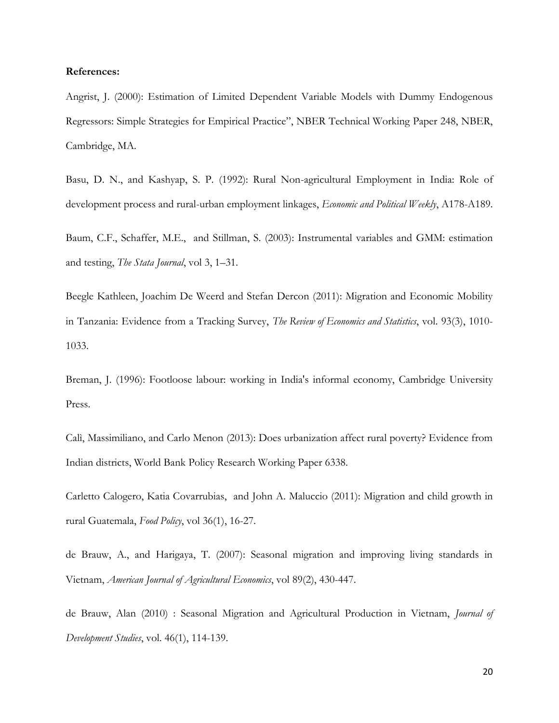## **References:**

Angrist, J. (2000): Estimation of Limited Dependent Variable Models with Dummy Endogenous Regressors: Simple Strategies for Empirical Practice", NBER Technical Working Paper 248, NBER, Cambridge, MA.

Basu, D. N., and Kashyap, S. P. (1992): Rural Non-agricultural Employment in India: Role of development process and rural-urban employment linkages, *Economic and Political Weekly*, A178-A189.

Baum, C.F., Schaffer, M.E., and Stillman, S. (2003): Instrumental variables and GMM: estimation and testing, *The Stata Journal*, vol 3, 1–31.

Beegle Kathleen, Joachim De Weerd and Stefan Dercon (2011): Migration and Economic Mobility in Tanzania: Evidence from a Tracking Survey, *The Review of Economics and Statistics*, vol. 93(3), 1010- 1033.

Breman, J. (1996): Footloose labour: working in India's informal economy, Cambridge University Press.

Calì, Massimiliano, and Carlo Menon (2013): Does urbanization affect rural poverty? Evidence from Indian districts, World Bank Policy Research Working Paper 6338.

Carletto Calogero, Katia Covarrubias, and John A. Maluccio (2011): Migration and child growth in rural Guatemala, *Food Policy*, vol 36(1), 16-27.

de Brauw, A., and Harigaya, T. (2007): Seasonal migration and improving living standards in Vietnam, *American Journal of Agricultural Economics*, vol 89(2), 430-447.

de Brauw, Alan (2010) : Seasonal Migration and Agricultural Production in Vietnam, *Journal of Development Studies*, vol. 46(1), 114-139.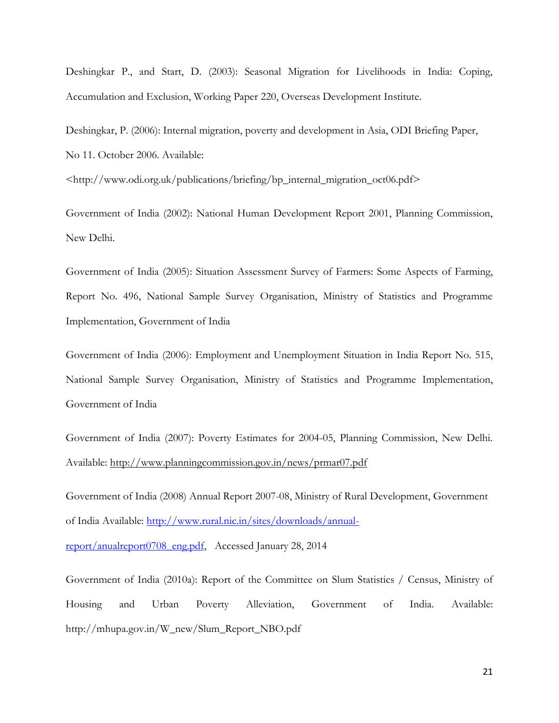Deshingkar P., and Start, D. (2003): Seasonal Migration for Livelihoods in India: Coping, Accumulation and Exclusion, Working Paper 220, Overseas Development Institute.

Deshingkar, P. (2006): Internal migration, poverty and development in Asia, ODI Briefing Paper, No 11. October 2006. Available:

<http://www.odi.org.uk/publications/briefing/bp\_internal\_migration\_oct06.pdf>

Government of India (2002): National Human Development Report 2001, Planning Commission, New Delhi.

Government of India (2005): Situation Assessment Survey of Farmers: Some Aspects of Farming, Report No. 496, National Sample Survey Organisation, Ministry of Statistics and Programme Implementation, Government of India

Government of India (2006): Employment and Unemployment Situation in India Report No. 515, National Sample Survey Organisation, Ministry of Statistics and Programme Implementation, Government of India

Government of India (2007): Poverty Estimates for 2004-05, Planning Commission, New Delhi. Available:<http://www.planningcommission.gov.in/news/prmar07.pdf>

Government of India (2008) Annual Report 2007-08, Ministry of Rural Development, Government of India Available: [http://www.rural.nic.in/sites/downloads/annual](http://www.rural.nic.in/sites/downloads/annual-report/anualreport0708_eng.pdf)[report/anualreport0708\\_eng.pdf,](http://www.rural.nic.in/sites/downloads/annual-report/anualreport0708_eng.pdf) Accessed January 28, 2014

Government of India (2010a): Report of the Committee on Slum Statistics / Census, Ministry of Housing and Urban Poverty Alleviation, Government of India. Available: http://mhupa.gov.in/W\_new/Slum\_Report\_NBO.pdf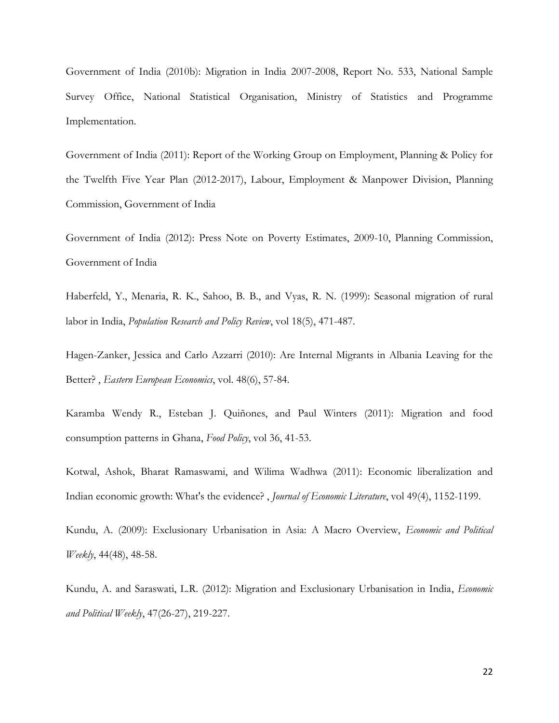Government of India (2010b): Migration in India 2007-2008, Report No. 533, National Sample Survey Office, National Statistical Organisation, Ministry of Statistics and Programme Implementation.

Government of India (2011): Report of the Working Group on Employment, Planning & Policy for the Twelfth Five Year Plan (2012-2017), Labour, Employment & Manpower Division, Planning Commission, Government of India

Government of India (2012): Press Note on Poverty Estimates, 2009-10, Planning Commission, Government of India

Haberfeld, Y., Menaria, R. K., Sahoo, B. B., and Vyas, R. N. (1999): Seasonal migration of rural labor in India, *Population Research and Policy Review*, vol 18(5), 471-487.

Hagen-Zanker, Jessica and Carlo Azzarri (2010): Are Internal Migrants in Albania Leaving for the Better? , *Eastern European Economics*, vol. 48(6), 57-84.

Karamba Wendy R., Esteban J. Quiñones, and Paul Winters (2011): Migration and food consumption patterns in Ghana, *Food Policy*, vol 36, 41-53.

Kotwal, Ashok, Bharat Ramaswami, and Wilima Wadhwa (2011): Economic liberalization and Indian economic growth: What's the evidence? , *Journal of Economic Literature*, vol 49(4), 1152-1199.

Kundu, A. (2009): Exclusionary Urbanisation in Asia: A Macro Overview, *Economic and Political Weekly*, 44(48), 48-58.

Kundu, A. and Saraswati, L.R. (2012): Migration and Exclusionary Urbanisation in India, *Economic and Political Weekly*, 47(26-27), 219-227.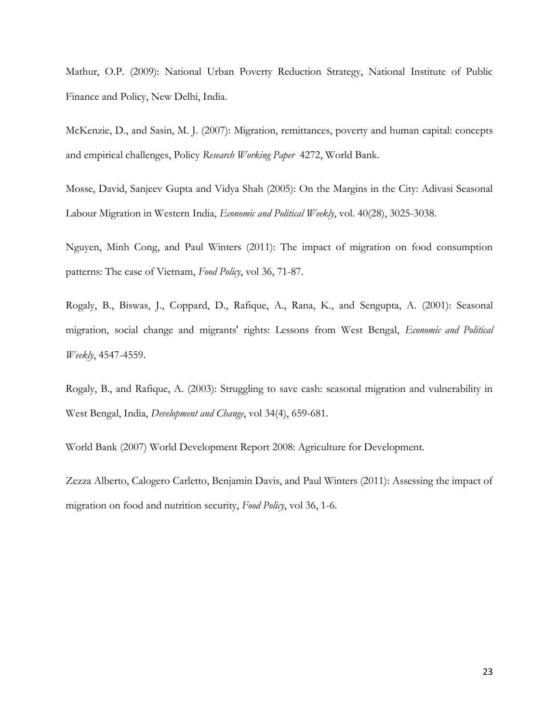Mathur, O.P. (2009): National Urban Poverty Reduction Strategy, National Institute of Public Finance and Policy, New Delhi, India.

McKenzie, D., and Sasin, M. J. (2007): Migration, remittances, poverty and human capital: concepts and empirical challenges, Policy *Research Working Paper* 4272, World Bank.

Mosse, David, Sanjeev Gupta and Vidya Shah (2005): On the Margins in the City: Adivasi Seasonal Labour Migration in Western India, *Economic and Political Weekly*, vol. 40(28), 3025-3038.

Nguyen, Minh Cong, and Paul Winters (2011): The impact of migration on food consumption patterns: The case of Vietnam, *Food Policy*, vol 36, 71-87.

Rogaly, B., Biswas, J., Coppard, D., Rafique, A., Rana, K., and Sengupta, A. (2001): Seasonal migration, social change and migrants' rights: Lessons from West Bengal, *Economic and Political Weekly*, 4547-4559.

Rogaly, B., and Rafique, A. (2003): Struggling to save cash: seasonal migration and vulnerability in West Bengal, India, *Development and Change*, vol 34(4), 659-681.

World Bank (2007) World Development Report 2008: Agriculture for Development.

Zezza Alberto, Calogero Carletto, Benjamin Davis, and Paul Winters (2011): Assessing the impact of migration on food and nutrition security, *Food Policy*, vol 36, 1-6.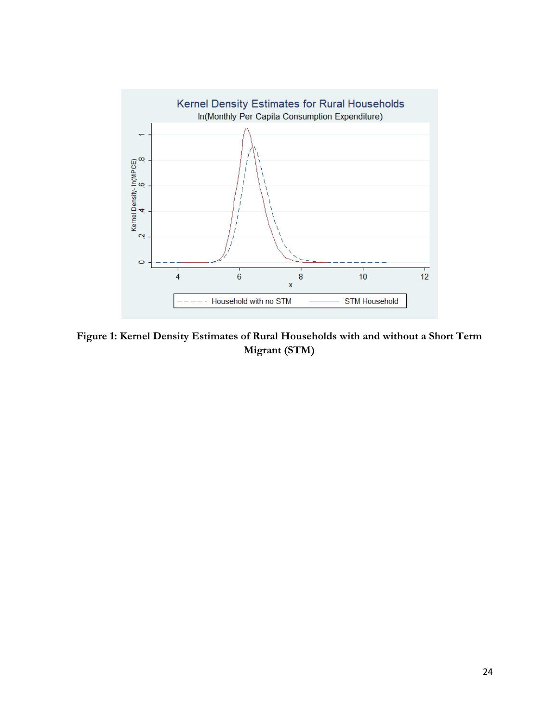

**Figure 1: Kernel Density Estimates of Rural Households with and without a Short Term Migrant (STM)**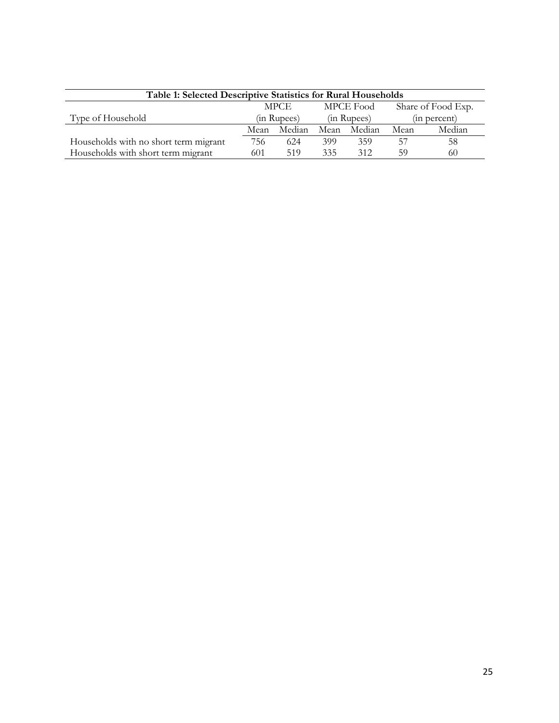| Table 1: Selected Descriptive Statistics for Rural Households |             |        |             |        |                    |        |
|---------------------------------------------------------------|-------------|--------|-------------|--------|--------------------|--------|
|                                                               | <b>MPCE</b> |        | MPCE Food   |        | Share of Food Exp. |        |
| Type of Household                                             | (in Rupees) |        | (in Rupees) |        | (in percent)       |        |
|                                                               | Mean        | Median | Mean        | Median | Mean               | Median |
| Households with no short term migrant                         | 756         | 624    | 399         | 359    | .57                | 58     |
| Households with short term migrant                            | 601         | 519    | 335         | 312    | 59                 | 60     |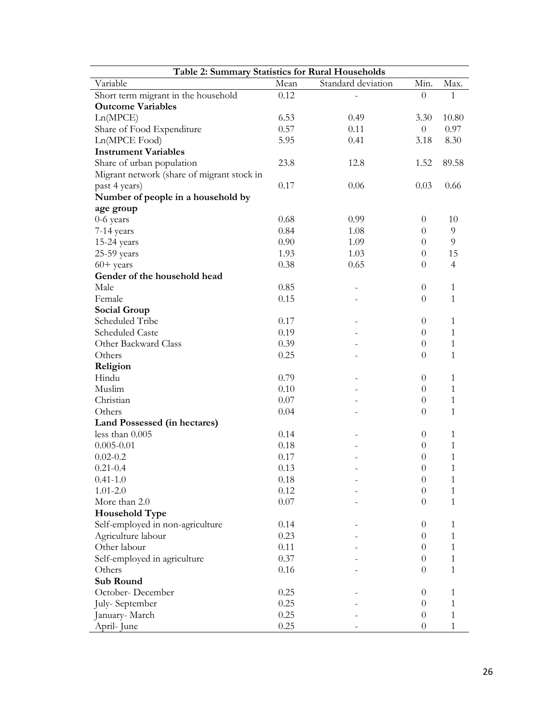| Table 2: Summary Statistics for Rural Households |      |                    |                  |                |  |  |
|--------------------------------------------------|------|--------------------|------------------|----------------|--|--|
| Variable                                         | Mean | Standard deviation | Min.             | Max.           |  |  |
| Short term migrant in the household              | 0.12 |                    | $\Omega$         | 1              |  |  |
| <b>Outcome Variables</b>                         |      |                    |                  |                |  |  |
| Ln(MPCE)                                         | 6.53 | 0.49               | 3.30             | 10.80          |  |  |
| Share of Food Expenditure                        | 0.57 | 0.11               | $\theta$         | 0.97           |  |  |
| Ln(MPCE Food)                                    | 5.95 | 0.41               | 3.18             | 8.30           |  |  |
| <b>Instrument Variables</b>                      |      |                    |                  |                |  |  |
| Share of urban population                        | 23.8 | 12.8               | 1.52             | 89.58          |  |  |
| Migrant network (share of migrant stock in       |      |                    |                  |                |  |  |
| past 4 years)                                    | 0.17 | 0.06               | 0.03             | 0.66           |  |  |
| Number of people in a household by               |      |                    |                  |                |  |  |
| age group                                        |      |                    |                  |                |  |  |
| 0-6 years                                        | 0.68 | 0.99               | $\theta$         | 10             |  |  |
| 7-14 years                                       | 0.84 | 1.08               | $\theta$         | 9              |  |  |
| $15-24$ years                                    | 0.90 | 1.09               | $\Omega$         | 9              |  |  |
| 25-59 years                                      | 1.93 | 1.03               | $\Omega$         | 15             |  |  |
| $60+$ years                                      | 0.38 | 0.65               | $\theta$         | $\overline{4}$ |  |  |
| Gender of the household head                     |      |                    |                  |                |  |  |
| Male                                             | 0.85 |                    | $\theta$         | $\mathbf{1}$   |  |  |
| Female                                           | 0.15 |                    | $\theta$         | 1              |  |  |
|                                                  |      |                    |                  |                |  |  |
| <b>Social Group</b>                              |      |                    |                  |                |  |  |
| Scheduled Tribe                                  | 0.17 |                    | $\theta$         | 1              |  |  |
| <b>Scheduled Caste</b>                           | 0.19 |                    | $\theta$         | $\mathbf{1}$   |  |  |
| Other Backward Class                             | 0.39 |                    | $\theta$         | $\mathbf{1}$   |  |  |
| Others                                           | 0.25 |                    | $\theta$         | 1              |  |  |
| Religion                                         |      |                    |                  |                |  |  |
| Hindu                                            | 0.79 |                    | $\theta$         | $\mathbf{1}$   |  |  |
| Muslim                                           | 0.10 |                    | $\theta$         | 1              |  |  |
| Christian                                        | 0.07 |                    | $\theta$         | 1              |  |  |
| Others                                           | 0.04 |                    | $\Omega$         | $\mathbf{1}$   |  |  |
| Land Possessed (in hectares)                     |      |                    |                  |                |  |  |
| less than 0.005                                  | 0.14 |                    | $\theta$         | 1              |  |  |
| $0.005 - 0.01$                                   | 0.18 |                    | $\theta$         | $\mathbf{1}$   |  |  |
| $0.02 - 0.2$                                     | 0.17 |                    | 0                | 1              |  |  |
| $0.21 - 0.4$                                     | 0.13 |                    | $\theta$         | 1              |  |  |
| $0.41 - 1.0$                                     | 0.18 |                    | $\boldsymbol{0}$ | 1              |  |  |
| $1.01 - 2.0$                                     | 0.12 |                    | $\Omega$         | 1              |  |  |
| More than 2.0                                    | 0.07 |                    | $\Omega$         | 1              |  |  |
| <b>Household Type</b>                            |      |                    |                  |                |  |  |
| Self-employed in non-agriculture                 | 0.14 |                    | $\theta$         | $\mathbf{1}$   |  |  |
| Agriculture labour                               | 0.23 |                    | $\theta$         | 1              |  |  |
| Other labour                                     | 0.11 |                    | $\theta$         | $\mathbf{1}$   |  |  |
| Self-employed in agriculture                     | 0.37 |                    | $\theta$         | 1              |  |  |
| Others                                           | 0.16 |                    | 0                | 1              |  |  |
| <b>Sub Round</b>                                 |      |                    |                  |                |  |  |
| October-December                                 | 0.25 |                    | $\theta$         | 1              |  |  |
| July-September                                   | 0.25 |                    | $\theta$         | 1              |  |  |
| January- March                                   | 0.25 |                    | 0                | 1              |  |  |
| April-June                                       | 0.25 |                    | $\theta$         | 1              |  |  |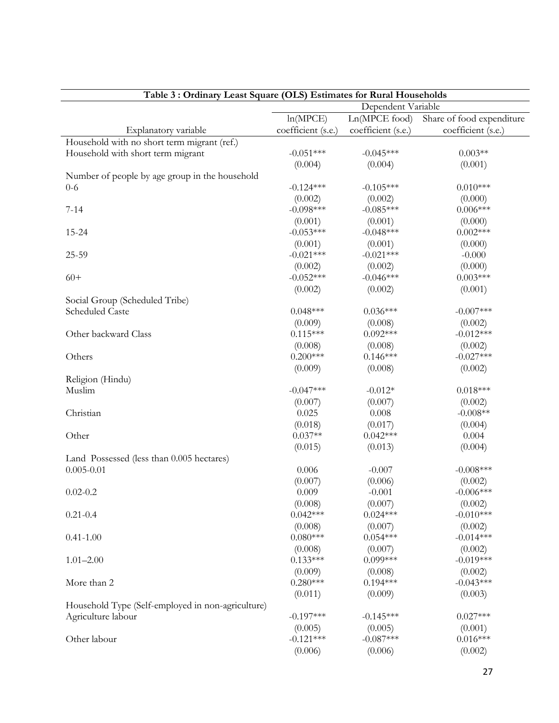|                                                   |                       | Dependent Variable |                           |
|---------------------------------------------------|-----------------------|--------------------|---------------------------|
|                                                   | ln(MPCE)              | Ln(MPCE food)      | Share of food expenditure |
| Explanatory variable                              | coefficient (s.e.)    | coefficient (s.e.) | coefficient (s.e.)        |
| Household with no short term migrant (ref.)       |                       |                    |                           |
| Household with short term migrant                 | $-0.051***$           | $-0.045***$        | $0.003**$                 |
|                                                   | (0.004)               | (0.004)            | (0.001)                   |
| Number of people by age group in the household    |                       |                    |                           |
| $0-6$                                             | $-0.124***$           | $-0.105***$        | $0.010***$                |
|                                                   | (0.002)               | (0.002)            | (0.000)                   |
| $7 - 14$                                          | $-0.098***$           | $-0.085***$        | $0.006***$                |
|                                                   | (0.001)               | (0.001)            | (0.000)                   |
| $15 - 24$                                         | $-0.053***$           | $-0.048***$        | $0.002***$                |
|                                                   | (0.001)               | (0.001)            | (0.000)                   |
| $25 - 59$                                         | $-0.021***$           | $-0.021***$        | $-0.000$                  |
|                                                   | (0.002)               | (0.002)            | (0.000)                   |
| $60+$                                             | $-0.052***$           | $-0.046***$        | $0.003***$                |
|                                                   |                       |                    |                           |
|                                                   | (0.002)               | (0.002)            | (0.001)                   |
| Social Group (Scheduled Tribe)                    |                       |                    | $-0.007***$               |
| Scheduled Caste                                   | $0.048***$            | $0.036***$         |                           |
|                                                   | (0.009)               | (0.008)            | (0.002)                   |
| Other backward Class                              | $0.115***$            | $0.092***$         | $-0.012***$               |
|                                                   | (0.008)               | (0.008)            | (0.002)                   |
| Others                                            | $0.200***$            | $0.146***$         | $-0.027***$               |
|                                                   | (0.009)               | (0.008)            | (0.002)                   |
| Religion (Hindu)                                  |                       |                    |                           |
| Muslim                                            | $-0.047***$           | $-0.012*$          | $0.018***$                |
|                                                   | (0.007)               | (0.007)            | (0.002)                   |
| Christian                                         | 0.025                 | 0.008              | $-0.008**$                |
|                                                   | (0.018)               | (0.017)            | (0.004)                   |
| Other                                             | $0.037**$             | $0.042***$         | 0.004                     |
|                                                   | (0.015)               | (0.013)            | (0.004)                   |
| Land Possessed (less than 0.005 hectares)         |                       |                    |                           |
| $0.005 - 0.01$                                    | 0.006                 | $-0.007$           | $-0.008$ ***              |
|                                                   | (0.007)               | (0.006)            | (0.002)                   |
| $0.02 - 0.2$                                      | 0.009                 | $-0.001$           | $-0.006***$               |
|                                                   | (0.008)               | (0.007)            | (0.002)                   |
| $0.21 - 0.4$                                      | $0.042***$            | $0.024***$         | $-0.010***$               |
|                                                   |                       |                    |                           |
|                                                   | (0.008)<br>$0.080***$ | (0.007)            | (0.002)                   |
| $0.41 - 1.00$                                     |                       | $0.054***$         | $-0.014***$               |
|                                                   | (0.008)               | (0.007)            | (0.002)                   |
| $1.01 - 2.00$                                     | $0.133***$            | $0.099***$         | $-0.019***$               |
|                                                   | (0.009)               | (0.008)            | (0.002)                   |
| More than 2                                       | $0.280***$            | $0.194***$         | $-0.043***$               |
|                                                   | (0.011)               | (0.009)            | (0.003)                   |
| Household Type (Self-employed in non-agriculture) |                       |                    |                           |
| Agriculture labour                                | $-0.197***$           | $-0.145***$        | $0.027***$                |
|                                                   | (0.005)               | (0.005)            | (0.001)                   |
| Other labour                                      | $-0.121***$           | $-0.087***$        | $0.016***$                |
|                                                   | (0.006)               | (0.006)            | (0.002)                   |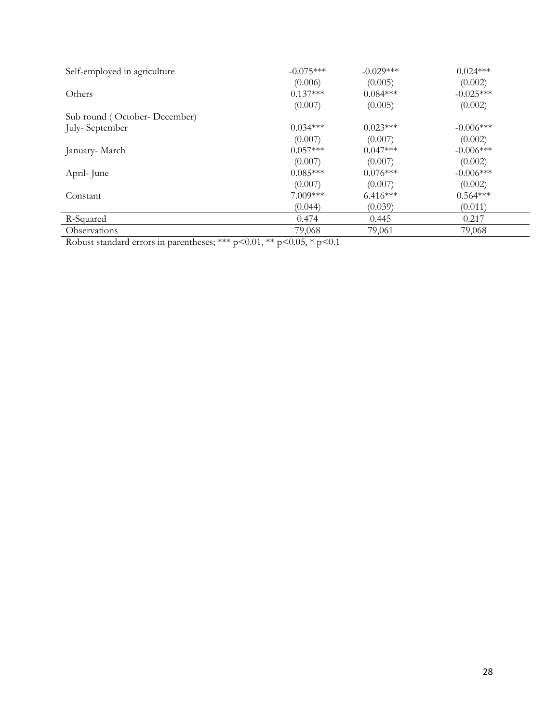| Self-employed in agriculture                                                  | $-0.075***$ | $-0.029***$ | $0.024***$  |
|-------------------------------------------------------------------------------|-------------|-------------|-------------|
|                                                                               | (0.006)     | (0.005)     | (0.002)     |
| Others                                                                        | $0.137***$  | $0.084***$  | $-0.025***$ |
|                                                                               | (0.007)     | (0.005)     | (0.002)     |
| Sub round (October-December)                                                  |             |             |             |
| July-September                                                                | $0.034***$  | $0.023***$  | $-0.006***$ |
|                                                                               | (0.007)     | (0.007)     | (0.002)     |
| January- March                                                                | $0.057***$  | $0.047***$  | $-0.006***$ |
|                                                                               | (0.007)     | (0.007)     | (0.002)     |
| April-June                                                                    | $0.085***$  | $0.076***$  | $-0.006***$ |
|                                                                               | (0.007)     | (0.007)     | (0.002)     |
| Constant                                                                      | $7.009***$  | $6.416***$  | $0.564***$  |
|                                                                               | (0.044)     | (0.039)     | (0.011)     |
| R-Squared                                                                     | 0.474       | 0.445       | 0.217       |
| Observations                                                                  | 79,068      | 79,061      | 79,068      |
| Robust standard errors in parentheses; *** $p<0.01$ , ** $p<0.05$ , * $p<0.1$ |             |             |             |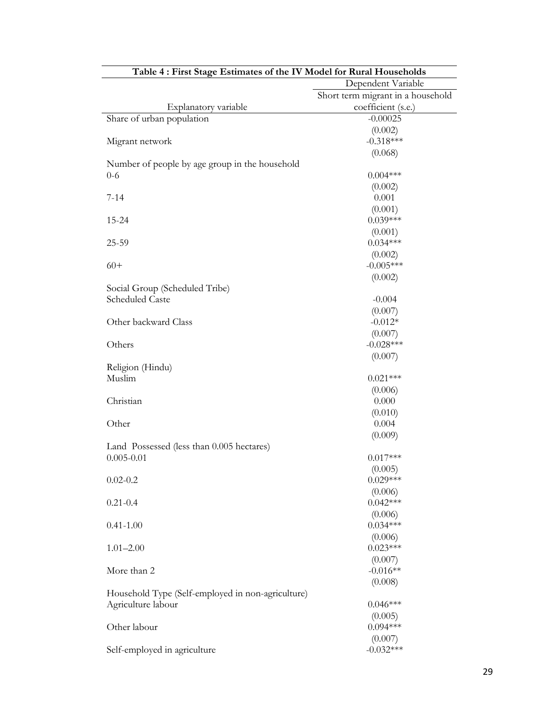| Table 4 : First Stage Estimates of the IV Model for Rural Households |                                   |
|----------------------------------------------------------------------|-----------------------------------|
|                                                                      | Dependent Variable                |
|                                                                      | Short term migrant in a household |
| Explanatory variable                                                 | coefficient (s.e.)                |
| Share of urban population                                            | $-0.00025$                        |
|                                                                      | (0.002)                           |
| Migrant network                                                      | $-0.318***$                       |
|                                                                      | (0.068)                           |
| Number of people by age group in the household                       |                                   |
| $0 - 6$                                                              | $0.004***$                        |
|                                                                      | (0.002)                           |
| $7 - 14$                                                             | 0.001                             |
|                                                                      | (0.001)                           |
| 15-24                                                                | $0.039***$                        |
|                                                                      | (0.001)                           |
| 25-59                                                                | $0.034***$                        |
|                                                                      | (0.002)                           |
| $60+$                                                                | $-0.005***$                       |
|                                                                      | (0.002)                           |
|                                                                      |                                   |
| Social Group (Scheduled Tribe)                                       |                                   |
| Scheduled Caste                                                      | $-0.004$                          |
|                                                                      | (0.007)                           |
| Other backward Class                                                 | $-0.012*$                         |
|                                                                      | (0.007)                           |
| Others                                                               | $-0.028***$                       |
|                                                                      | (0.007)                           |
| Religion (Hindu)                                                     |                                   |
| Muslim                                                               | $0.021***$                        |
|                                                                      | (0.006)                           |
| Christian                                                            | 0.000                             |
|                                                                      | (0.010)                           |
| Other                                                                | 0.004                             |
|                                                                      | (0.009)                           |
| Land Possessed (less than 0.005 hectares)                            |                                   |
| $0.005 - 0.01$                                                       | $0.017***$                        |
|                                                                      | (0.005)                           |
| $0.02 - 0.2$                                                         | $0.029***$                        |
|                                                                      | (0.006)                           |
| $0.21 - 0.4$                                                         | $0.042***$                        |
|                                                                      | (0.006)                           |
| $0.41 - 1.00$                                                        | $0.034***$                        |
|                                                                      |                                   |
|                                                                      | (0.006)<br>$0.023***$             |
| $1.01 - 2.00$                                                        |                                   |
|                                                                      | (0.007)                           |
| More than 2                                                          | $-0.016**$                        |
|                                                                      | (0.008)                           |
| Household Type (Self-employed in non-agriculture)                    |                                   |
| Agriculture labour                                                   | $0.046***$                        |
|                                                                      | (0.005)                           |
| Other labour                                                         | $0.094***$                        |
|                                                                      | (0.007)                           |
| Self-employed in agriculture                                         | $-0.032***$                       |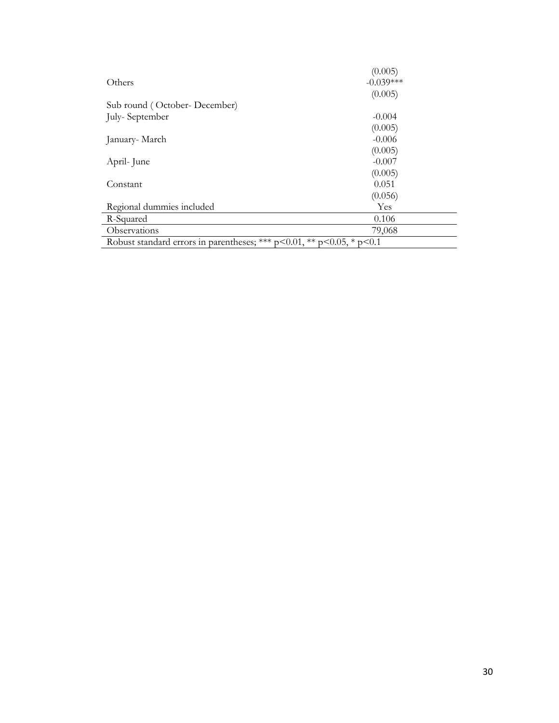|                                                                       | (0.005)     |
|-----------------------------------------------------------------------|-------------|
| Others                                                                | $-0.039***$ |
|                                                                       | (0.005)     |
| Sub round (October-December)                                          |             |
| July-September                                                        | $-0.004$    |
|                                                                       | (0.005)     |
| January- March                                                        | $-0.006$    |
|                                                                       | (0.005)     |
| April-June                                                            | $-0.007$    |
|                                                                       | (0.005)     |
| Constant                                                              | 0.051       |
|                                                                       | (0.056)     |
| Regional dummies included                                             | Yes         |
| R-Squared                                                             | 0.106       |
| Observations                                                          | 79,068      |
| Robust standard errors in parentheses; *** p<0.01, ** p<0.05, * p<0.1 |             |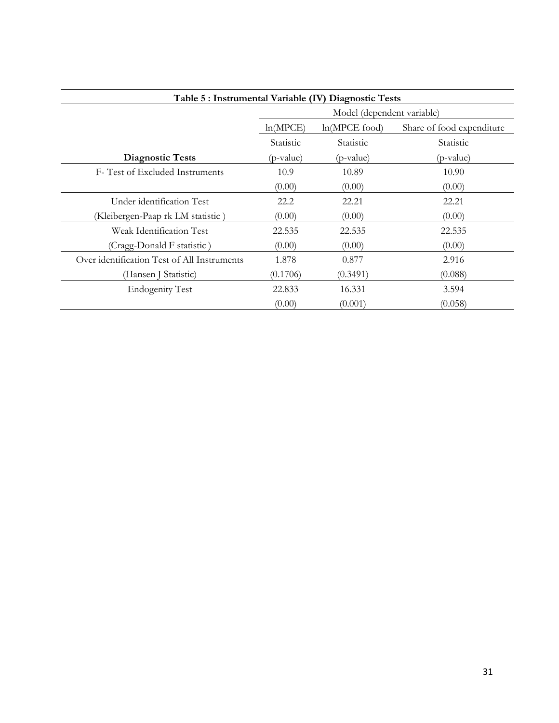| Table 5 : Instrumental Variable (IV) Diagnostic Tests |                            |                 |                           |  |
|-------------------------------------------------------|----------------------------|-----------------|---------------------------|--|
|                                                       | Model (dependent variable) |                 |                           |  |
|                                                       | ln(MPCE)                   | $ln(MPCE$ food) | Share of food expenditure |  |
|                                                       | Statistic                  | Statistic       | Statistic                 |  |
| <b>Diagnostic Tests</b>                               | (p-value)                  | (p-value)       | (p-value)                 |  |
| F-Test of Excluded Instruments                        | 10.9                       | 10.89           | 10.90                     |  |
|                                                       | (0.00)                     | (0.00)          | (0.00)                    |  |
| Under identification Test                             | 22.2                       | 22.21           | 22.21                     |  |
| (Kleibergen-Paap rk LM statistic)                     | (0.00)                     | (0.00)          | (0.00)                    |  |
| Weak Identification Test                              | 22.535                     | 22.535          | 22.535                    |  |
| (Cragg-Donald F statistic)                            | (0.00)                     | (0.00)          | (0.00)                    |  |
| Over identification Test of All Instruments           | 1.878                      | 0.877           | 2.916                     |  |
| (Hansen J Statistic)                                  | (0.1706)                   | (0.3491)        | (0.088)                   |  |
| <b>Endogenity Test</b>                                | 22.833                     | 16.331          | 3.594                     |  |
|                                                       | (0.00)                     | (0.001)         | (0.058)                   |  |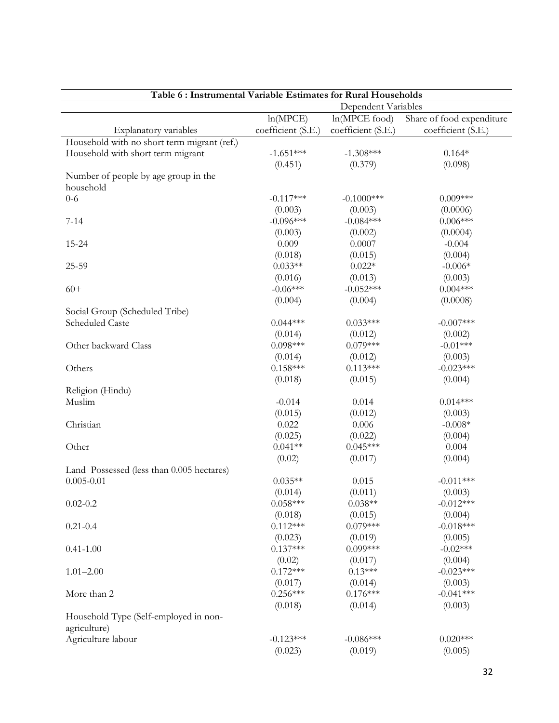| Table 6: Instrumental Variable Estimates for Rural Households |                       |                    |                           |  |
|---------------------------------------------------------------|-----------------------|--------------------|---------------------------|--|
|                                                               | Dependent Variables   |                    |                           |  |
|                                                               | ln(MPCE)              | $ln(MPCE$ food)    | Share of food expenditure |  |
| Explanatory variables                                         | coefficient (S.E.)    | coefficient (S.E.) | coefficient (S.E.)        |  |
| Household with no short term migrant (ref.)                   |                       |                    |                           |  |
| Household with short term migrant                             | $-1.651***$           | $-1.308***$        | $0.164*$                  |  |
|                                                               | (0.451)               | (0.379)            | (0.098)                   |  |
| Number of people by age group in the                          |                       |                    |                           |  |
| household                                                     |                       |                    |                           |  |
| $0 - 6$                                                       | $-0.117***$           | $-0.1000$ ***      | $0.009***$                |  |
|                                                               | (0.003)               | (0.003)            | (0.0006)                  |  |
| $7 - 14$                                                      | $-0.096***$           | $-0.084***$        | $0.006***$                |  |
|                                                               | (0.003)               | (0.002)            | (0.0004)                  |  |
| 15-24                                                         | 0.009                 | 0.0007             | $-0.004$                  |  |
|                                                               | (0.018)               | (0.015)            | (0.004)                   |  |
| 25-59                                                         | $0.033**$             | $0.022*$           | $-0.006*$                 |  |
|                                                               | (0.016)               | (0.013)            | (0.003)                   |  |
| $60+$                                                         | $-0.06***$            | $-0.052***$        | $0.004***$                |  |
|                                                               | (0.004)               | (0.004)            | (0.0008)                  |  |
| Social Group (Scheduled Tribe)                                |                       |                    |                           |  |
| <b>Scheduled Caste</b>                                        | $0.044***$            | $0.033***$         | $-0.007***$               |  |
|                                                               | (0.014)               | (0.012)            | (0.002)                   |  |
| Other backward Class                                          | $0.098***$            | $0.079***$         | $-0.01***$                |  |
|                                                               | (0.014)               | (0.012)            | (0.003)                   |  |
| Others                                                        | $0.158***$            | $0.113***$         | $-0.023***$               |  |
|                                                               | (0.018)               | (0.015)            | (0.004)                   |  |
| Religion (Hindu)                                              |                       |                    |                           |  |
| Muslim                                                        | $-0.014$              | 0.014              | $0.014***$                |  |
|                                                               | (0.015)               | (0.012)            | (0.003)                   |  |
| Christian                                                     | 0.022                 | 0.006              | $-0.008*$                 |  |
|                                                               | (0.025)               | (0.022)            | (0.004)                   |  |
| Other                                                         | $0.041**$             | $0.045***$         | 0.004                     |  |
|                                                               | (0.02)                | (0.017)            | (0.004)                   |  |
| Land Possessed (less than 0.005 hectares)                     |                       |                    |                           |  |
| $0.005 - 0.01$                                                | $0.035**$             | 0.015              | $-0.011***$               |  |
|                                                               |                       |                    |                           |  |
|                                                               | (0.014)<br>$0.058***$ | (0.011)            | (0.003)                   |  |
| $0.02 - 0.2$                                                  |                       | $0.038**$          | $-0.012***$               |  |
|                                                               | (0.018)               | (0.015)            | (0.004)                   |  |
| $0.21 - 0.4$                                                  | $0.112***$            | $0.079***$         | $-0.018***$               |  |
|                                                               | (0.023)               | (0.019)            | (0.005)                   |  |
| $0.41 - 1.00$                                                 | $0.137***$            | $0.099***$         | $-0.02***$                |  |
|                                                               | (0.02)                | (0.017)            | (0.004)                   |  |
| $1.01 - 2.00$                                                 | $0.172***$            | $0.13***$          | $-0.023***$               |  |
|                                                               | (0.017)               | (0.014)            | (0.003)                   |  |
| More than 2                                                   | $0.256***$            | $0.176***$         | $-0.041***$               |  |
|                                                               | (0.018)               | (0.014)            | (0.003)                   |  |
| Household Type (Self-employed in non-                         |                       |                    |                           |  |
| agriculture)                                                  |                       |                    |                           |  |
| Agriculture labour                                            | $-0.123***$           | $-0.086***$        | $0.020***$                |  |
|                                                               | (0.023)               | (0.019)            | (0.005)                   |  |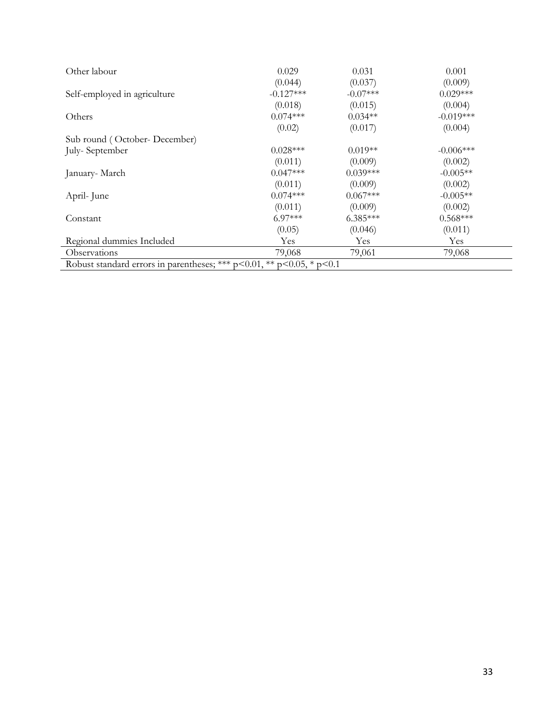| Other labour                                                                  | 0.029       | 0.031      | 0.001       |
|-------------------------------------------------------------------------------|-------------|------------|-------------|
|                                                                               | (0.044)     | (0.037)    | (0.009)     |
| Self-employed in agriculture                                                  | $-0.127***$ | $-0.07***$ | $0.029***$  |
|                                                                               | (0.018)     | (0.015)    | (0.004)     |
| Others                                                                        | $0.074***$  | $0.034**$  | $-0.019***$ |
|                                                                               | (0.02)      | (0.017)    | (0.004)     |
| Sub round (October-December)                                                  |             |            |             |
| July-September                                                                | $0.028***$  | $0.019**$  | $-0.006***$ |
|                                                                               | (0.011)     | (0.009)    | (0.002)     |
| January- March                                                                | $0.047***$  | $0.039***$ | $-0.005**$  |
|                                                                               | (0.011)     | (0.009)    | (0.002)     |
| April-June                                                                    | $0.074***$  | $0.067***$ | $-0.005**$  |
|                                                                               | (0.011)     | (0.009)    | (0.002)     |
| Constant                                                                      | $6.97***$   | $6.385***$ | $0.568***$  |
|                                                                               | (0.05)      | (0.046)    | (0.011)     |
| Regional dummies Included                                                     | Yes         | Yes        | Yes         |
| <i><b>Observations</b></i>                                                    | 79,068      | 79,061     | 79,068      |
| Robust standard errors in parentheses; *** $p<0.01$ , ** $p<0.05$ , * $p<0.1$ |             |            |             |